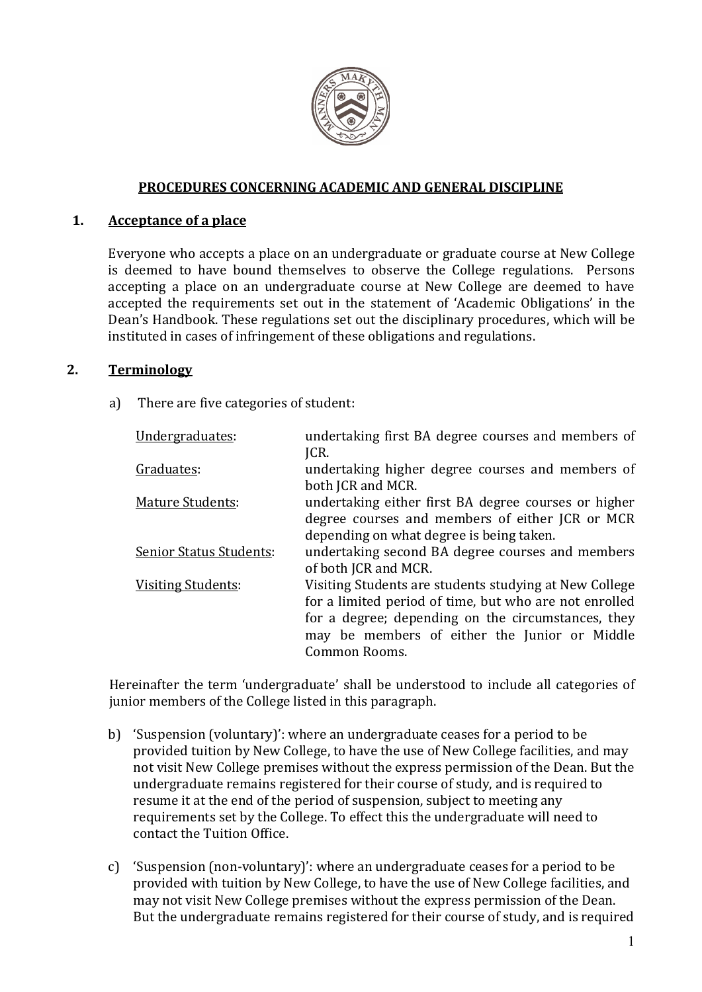

#### **PROCEDURES CONCERNING ACADEMIC AND GENERAL DISCIPLINE**

#### **1. Acceptance of a place**

Everyone who accepts a place on an undergraduate or graduate course at New College is deemed to have bound themselves to observe the College regulations. Persons accepting a place on an undergraduate course at New College are deemed to have accepted the requirements set out in the statement of 'Academic Obligations' in the Dean's Handbook. These regulations set out the disciplinary procedures, which will be instituted in cases of infringement of these obligations and regulations.

### **2. Terminology**

a) There are five categories of student:

| Undergraduates:                | undertaking first BA degree courses and members of<br>JCR.            |
|--------------------------------|-----------------------------------------------------------------------|
|                                |                                                                       |
| Graduates:                     | undertaking higher degree courses and members of<br>both JCR and MCR. |
| <b>Mature Students:</b>        | undertaking either first BA degree courses or higher                  |
|                                | degree courses and members of either JCR or MCR                       |
|                                | depending on what degree is being taken.                              |
| <b>Senior Status Students:</b> | undertaking second BA degree courses and members                      |
|                                | of both JCR and MCR.                                                  |
| <b>Visiting Students:</b>      | Visiting Students are students studying at New College                |
|                                | for a limited period of time, but who are not enrolled                |
|                                | for a degree; depending on the circumstances, they                    |
|                                | may be members of either the Junior or Middle                         |
|                                | Common Rooms.                                                         |

Hereinafter the term 'undergraduate' shall be understood to include all categories of junior members of the College listed in this paragraph.

- b) 'Suspension (voluntary)': where an undergraduate ceases for a period to be provided tuition by New College, to have the use of New College facilities, and may not visit New College premises without the express permission of the Dean. But the undergraduate remains registered for their course of study, and is required to resume it at the end of the period of suspension, subject to meeting any requirements set by the College. To effect this the undergraduate will need to contact the Tuition Office.
- c) 'Suspension (non-voluntary)': where an undergraduate ceases for a period to be provided with tuition by New College, to have the use of New College facilities, and may not visit New College premises without the express permission of the Dean. But the undergraduate remains registered for their course of study, and is required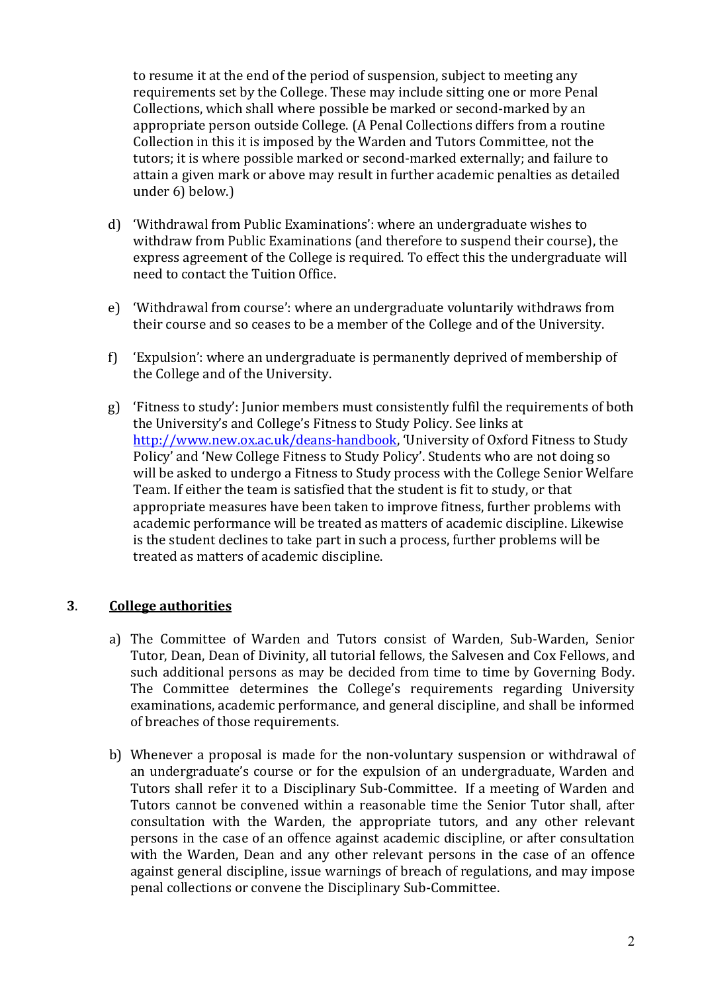to resume it at the end of the period of suspension, subject to meeting any requirements set by the College. These may include sitting one or more Penal Collections, which shall where possible be marked or second-marked by an appropriate person outside College. (A Penal Collections differs from a routine Collection in this it is imposed by the Warden and Tutors Committee, not the tutors; it is where possible marked or second-marked externally; and failure to attain a given mark or above may result in further academic penalties as detailed under 6) below.)

- d) 'Withdrawal from Public Examinations': where an undergraduate wishes to withdraw from Public Examinations (and therefore to suspend their course), the express agreement of the College is required. To effect this the undergraduate will need to contact the Tuition Office.
- e) 'Withdrawal from course': where an undergraduate voluntarily withdraws from their course and so ceases to be a member of the College and of the University.
- f) 'Expulsion': where an undergraduate is permanently deprived of membership of the College and of the University.
- g) 'Fitness to study': Junior members must consistently fulfil the requirements of both the University's and College's Fitness to Study Policy. See links at [http://www.new.ox.ac.uk/deans-handbook,](http://www.new.ox.ac.uk/deans-handbook) 'University of Oxford Fitness to Study Policy' and 'New College Fitness to Study Policy'. Students who are not doing so will be asked to undergo a Fitness to Study process with the College Senior Welfare Team. If either the team is satisfied that the student is fit to study, or that appropriate measures have been taken to improve fitness, further problems with academic performance will be treated as matters of academic discipline. Likewise is the student declines to take part in such a process, further problems will be treated as matters of academic discipline.

# **3**. **College authorities**

- a) The Committee of Warden and Tutors consist of Warden, Sub-Warden, Senior Tutor, Dean, Dean of Divinity, all tutorial fellows, the Salvesen and Cox Fellows, and such additional persons as may be decided from time to time by Governing Body. The Committee determines the College's requirements regarding University examinations, academic performance, and general discipline, and shall be informed of breaches of those requirements.
- b) Whenever a proposal is made for the non-voluntary suspension or withdrawal of an undergraduate's course or for the expulsion of an undergraduate, Warden and Tutors shall refer it to a Disciplinary Sub-Committee. If a meeting of Warden and Tutors cannot be convened within a reasonable time the Senior Tutor shall, after consultation with the Warden, the appropriate tutors, and any other relevant persons in the case of an offence against academic discipline, or after consultation with the Warden, Dean and any other relevant persons in the case of an offence against general discipline, issue warnings of breach of regulations, and may impose penal collections or convene the Disciplinary Sub-Committee.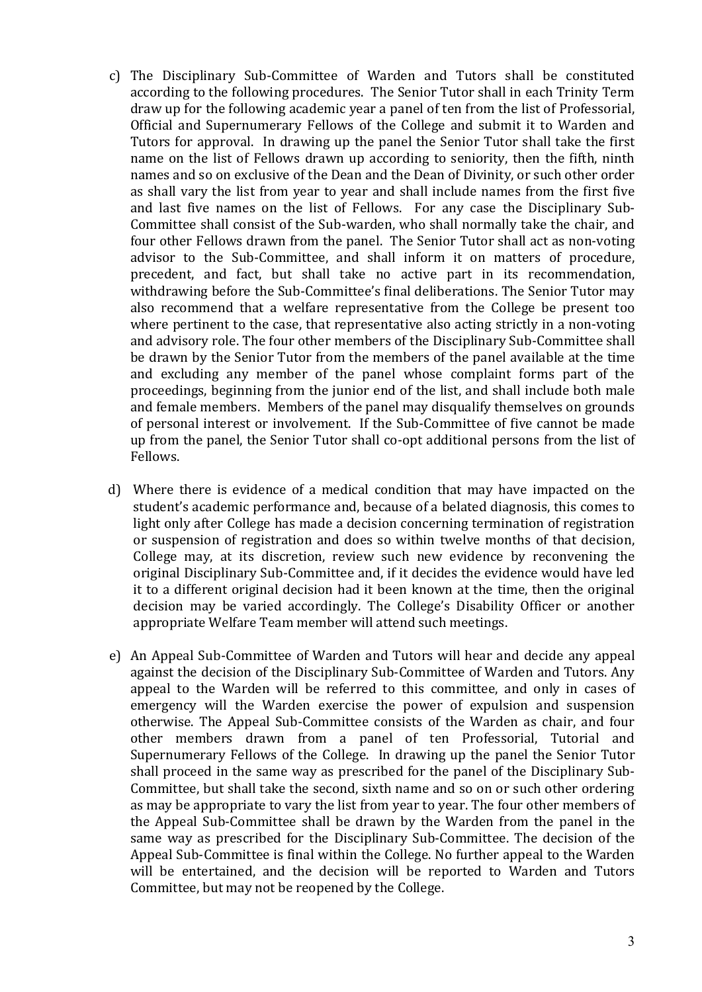- c) The Disciplinary Sub-Committee of Warden and Tutors shall be constituted according to the following procedures. The Senior Tutor shall in each Trinity Term draw up for the following academic year a panel of ten from the list of Professorial, Official and Supernumerary Fellows of the College and submit it to Warden and Tutors for approval. In drawing up the panel the Senior Tutor shall take the first name on the list of Fellows drawn up according to seniority, then the fifth, ninth names and so on exclusive of the Dean and the Dean of Divinity, or such other order as shall vary the list from year to year and shall include names from the first five and last five names on the list of Fellows. For any case the Disciplinary Sub-Committee shall consist of the Sub-warden, who shall normally take the chair, and four other Fellows drawn from the panel. The Senior Tutor shall act as non-voting advisor to the Sub-Committee, and shall inform it on matters of procedure, precedent, and fact, but shall take no active part in its recommendation, withdrawing before the Sub-Committee's final deliberations. The Senior Tutor may also recommend that a welfare representative from the College be present too where pertinent to the case, that representative also acting strictly in a non-voting and advisory role. The four other members of the Disciplinary Sub-Committee shall be drawn by the Senior Tutor from the members of the panel available at the time and excluding any member of the panel whose complaint forms part of the proceedings, beginning from the junior end of the list, and shall include both male and female members. Members of the panel may disqualify themselves on grounds of personal interest or involvement. If the Sub-Committee of five cannot be made up from the panel, the Senior Tutor shall co-opt additional persons from the list of Fellows.
- d) Where there is evidence of a medical condition that may have impacted on the student's academic performance and, because of a belated diagnosis, this comes to light only after College has made a decision concerning termination of registration or suspension of registration and does so within twelve months of that decision, College may, at its discretion, review such new evidence by reconvening the original Disciplinary Sub-Committee and, if it decides the evidence would have led it to a different original decision had it been known at the time, then the original decision may be varied accordingly. The College's Disability Officer or another appropriate Welfare Team member will attend such meetings.
- e) An Appeal Sub-Committee of Warden and Tutors will hear and decide any appeal against the decision of the Disciplinary Sub-Committee of Warden and Tutors. Any appeal to the Warden will be referred to this committee, and only in cases of emergency will the Warden exercise the power of expulsion and suspension otherwise. The Appeal Sub-Committee consists of the Warden as chair, and four other members drawn from a panel of ten Professorial, Tutorial and Supernumerary Fellows of the College. In drawing up the panel the Senior Tutor shall proceed in the same way as prescribed for the panel of the Disciplinary Sub-Committee, but shall take the second, sixth name and so on or such other ordering as may be appropriate to vary the list from year to year. The four other members of the Appeal Sub-Committee shall be drawn by the Warden from the panel in the same way as prescribed for the Disciplinary Sub-Committee. The decision of the Appeal Sub-Committee is final within the College. No further appeal to the Warden will be entertained, and the decision will be reported to Warden and Tutors Committee, but may not be reopened by the College.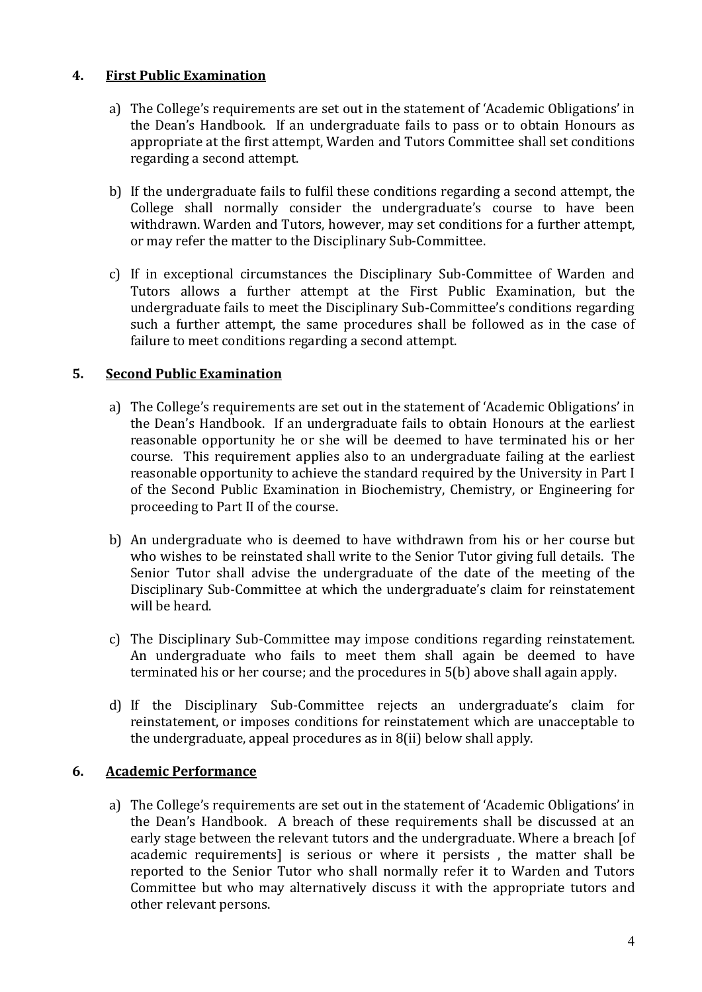## **4. First Public Examination**

- a) The College's requirements are set out in the statement of 'Academic Obligations' in the Dean's Handbook. If an undergraduate fails to pass or to obtain Honours as appropriate at the first attempt, Warden and Tutors Committee shall set conditions regarding a second attempt.
- b) If the undergraduate fails to fulfil these conditions regarding a second attempt, the College shall normally consider the undergraduate's course to have been withdrawn. Warden and Tutors, however, may set conditions for a further attempt, or may refer the matter to the Disciplinary Sub-Committee.
- c) If in exceptional circumstances the Disciplinary Sub-Committee of Warden and Tutors allows a further attempt at the First Public Examination, but the undergraduate fails to meet the Disciplinary Sub-Committee's conditions regarding such a further attempt, the same procedures shall be followed as in the case of failure to meet conditions regarding a second attempt.

## **5. Second Public Examination**

- a) The College's requirements are set out in the statement of 'Academic Obligations' in the Dean's Handbook. If an undergraduate fails to obtain Honours at the earliest reasonable opportunity he or she will be deemed to have terminated his or her course. This requirement applies also to an undergraduate failing at the earliest reasonable opportunity to achieve the standard required by the University in Part I of the Second Public Examination in Biochemistry, Chemistry, or Engineering for proceeding to Part II of the course.
- b) An undergraduate who is deemed to have withdrawn from his or her course but who wishes to be reinstated shall write to the Senior Tutor giving full details. The Senior Tutor shall advise the undergraduate of the date of the meeting of the Disciplinary Sub-Committee at which the undergraduate's claim for reinstatement will be heard.
- c) The Disciplinary Sub-Committee may impose conditions regarding reinstatement. An undergraduate who fails to meet them shall again be deemed to have terminated his or her course; and the procedures in 5(b) above shall again apply.
- d) If the Disciplinary Sub-Committee rejects an undergraduate's claim for reinstatement, or imposes conditions for reinstatement which are unacceptable to the undergraduate, appeal procedures as in 8(ii) below shall apply.

# **6. Academic Performance**

a) The College's requirements are set out in the statement of 'Academic Obligations' in the Dean's Handbook. A breach of these requirements shall be discussed at an early stage between the relevant tutors and the undergraduate. Where a breach [of academic requirements] is serious or where it persists , the matter shall be reported to the Senior Tutor who shall normally refer it to Warden and Tutors Committee but who may alternatively discuss it with the appropriate tutors and other relevant persons.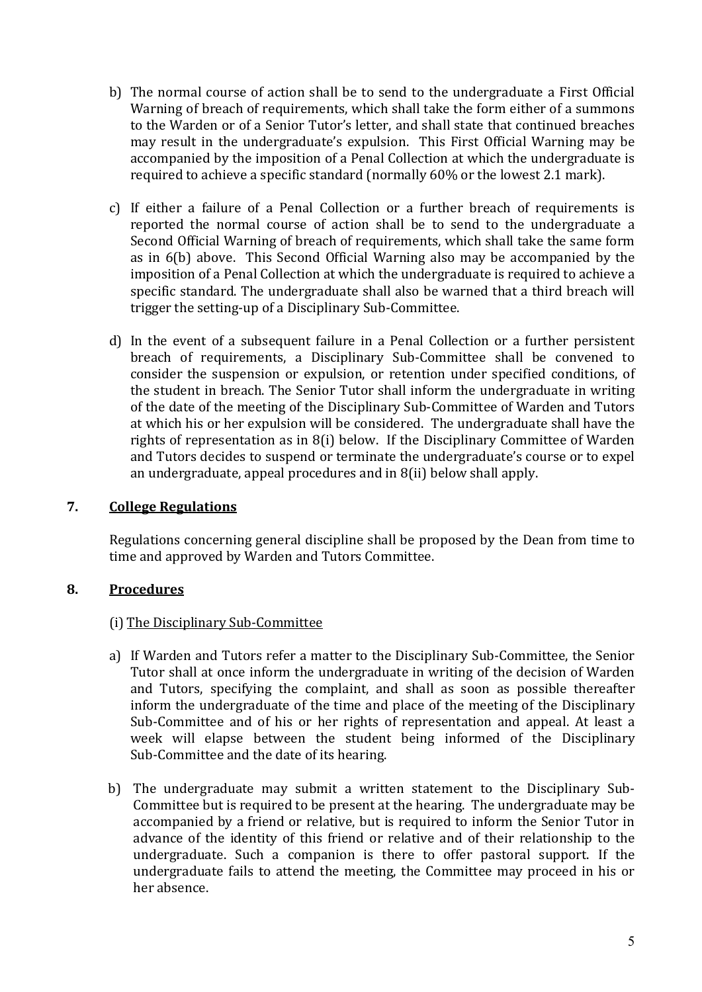- b) The normal course of action shall be to send to the undergraduate a First Official Warning of breach of requirements, which shall take the form either of a summons to the Warden or of a Senior Tutor's letter, and shall state that continued breaches may result in the undergraduate's expulsion. This First Official Warning may be accompanied by the imposition of a Penal Collection at which the undergraduate is required to achieve a specific standard (normally 60% or the lowest 2.1 mark).
- c) If either a failure of a Penal Collection or a further breach of requirements is reported the normal course of action shall be to send to the undergraduate a Second Official Warning of breach of requirements, which shall take the same form as in 6(b) above. This Second Official Warning also may be accompanied by the imposition of a Penal Collection at which the undergraduate is required to achieve a specific standard. The undergraduate shall also be warned that a third breach will trigger the setting-up of a Disciplinary Sub-Committee.
- d) In the event of a subsequent failure in a Penal Collection or a further persistent breach of requirements, a Disciplinary Sub-Committee shall be convened to consider the suspension or expulsion, or retention under specified conditions, of the student in breach. The Senior Tutor shall inform the undergraduate in writing of the date of the meeting of the Disciplinary Sub-Committee of Warden and Tutors at which his or her expulsion will be considered. The undergraduate shall have the rights of representation as in 8(i) below. If the Disciplinary Committee of Warden and Tutors decides to suspend or terminate the undergraduate's course or to expel an undergraduate, appeal procedures and in 8(ii) below shall apply.

### **7. College Regulations**

Regulations concerning general discipline shall be proposed by the Dean from time to time and approved by Warden and Tutors Committee.

# **8. Procedures**

### (i) The Disciplinary Sub-Committee

- a) If Warden and Tutors refer a matter to the Disciplinary Sub-Committee, the Senior Tutor shall at once inform the undergraduate in writing of the decision of Warden and Tutors, specifying the complaint, and shall as soon as possible thereafter inform the undergraduate of the time and place of the meeting of the Disciplinary Sub-Committee and of his or her rights of representation and appeal. At least a week will elapse between the student being informed of the Disciplinary Sub-Committee and the date of its hearing.
- b) The undergraduate may submit a written statement to the Disciplinary Sub-Committee but is required to be present at the hearing. The undergraduate may be accompanied by a friend or relative, but is required to inform the Senior Tutor in advance of the identity of this friend or relative and of their relationship to the undergraduate. Such a companion is there to offer pastoral support. If the undergraduate fails to attend the meeting, the Committee may proceed in his or her absence.